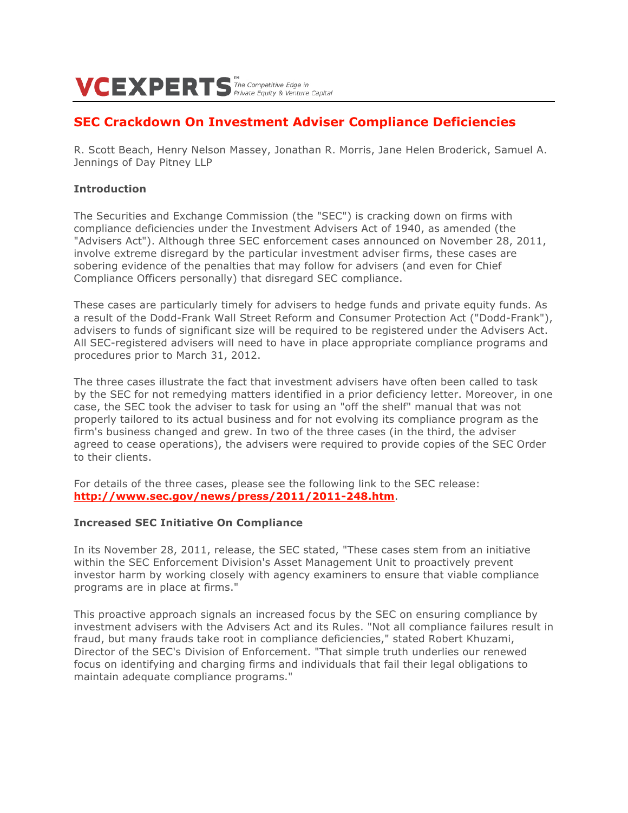# $VCEXPERTS$ <sup>The Competitive Edge in</sup>

## **SEC Crackdown On Investment Adviser Compliance Deficiencies**

R. Scott Beach, Henry Nelson Massey, Jonathan R. Morris, Jane Helen Broderick, Samuel A. Jennings of Day Pitney LLP

## **Introduction**

The Securities and Exchange Commission (the "SEC") is cracking down on firms with compliance deficiencies under the Investment Advisers Act of 1940, as amended (the "Advisers Act"). Although three SEC enforcement cases announced on November 28, 2011, involve extreme disregard by the particular investment adviser firms, these cases are sobering evidence of the penalties that may follow for advisers (and even for Chief Compliance Officers personally) that disregard SEC compliance.

These cases are particularly timely for advisers to hedge funds and private equity funds. As a result of the Dodd-Frank Wall Street Reform and Consumer Protection Act ("Dodd-Frank"), advisers to funds of significant size will be required to be registered under the Advisers Act. All SEC-registered advisers will need to have in place appropriate compliance programs and procedures prior to March 31, 2012.

The three cases illustrate the fact that investment advisers have often been called to task by the SEC for not remedying matters identified in a prior deficiency letter. Moreover, in one case, the SEC took the adviser to task for using an "off the shelf" manual that was not properly tailored to its actual business and for not evolving its compliance program as the firm's business changed and grew. In two of the three cases (in the third, the adviser agreed to cease operations), the advisers were required to provide copies of the SEC Order to their clients.

For details of the three cases, please see the following link to the SEC release: **http://www.sec.gov/news/press/2011/2011-248.htm**.

## **Increased SEC Initiative On Compliance**

In its November 28, 2011, release, the SEC stated, "These cases stem from an initiative within the SEC Enforcement Division's Asset Management Unit to proactively prevent investor harm by working closely with agency examiners to ensure that viable compliance programs are in place at firms."

This proactive approach signals an increased focus by the SEC on ensuring compliance by investment advisers with the Advisers Act and its Rules. "Not all compliance failures result in fraud, but many frauds take root in compliance deficiencies," stated Robert Khuzami, Director of the SEC's Division of Enforcement. "That simple truth underlies our renewed focus on identifying and charging firms and individuals that fail their legal obligations to maintain adequate compliance programs."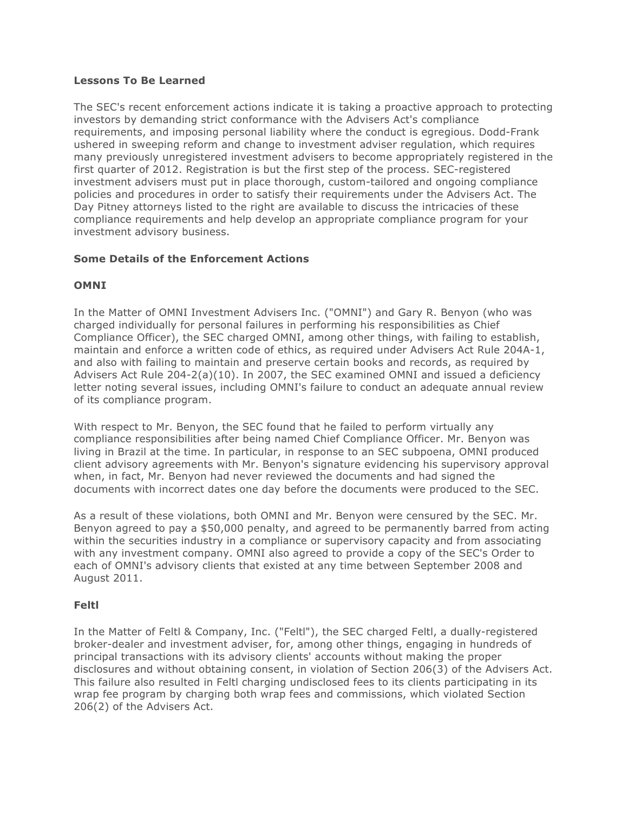## **Lessons To Be Learned**

The SEC's recent enforcement actions indicate it is taking a proactive approach to protecting investors by demanding strict conformance with the Advisers Act's compliance requirements, and imposing personal liability where the conduct is egregious. Dodd-Frank ushered in sweeping reform and change to investment adviser regulation, which requires many previously unregistered investment advisers to become appropriately registered in the first quarter of 2012. Registration is but the first step of the process. SEC-registered investment advisers must put in place thorough, custom-tailored and ongoing compliance policies and procedures in order to satisfy their requirements under the Advisers Act. The Day Pitney attorneys listed to the right are available to discuss the intricacies of these compliance requirements and help develop an appropriate compliance program for your investment advisory business.

## **Some Details of the Enforcement Actions**

## **OMNI**

In the Matter of OMNI Investment Advisers Inc. ("OMNI") and Gary R. Benyon (who was charged individually for personal failures in performing his responsibilities as Chief Compliance Officer), the SEC charged OMNI, among other things, with failing to establish, maintain and enforce a written code of ethics, as required under Advisers Act Rule 204A-1, and also with failing to maintain and preserve certain books and records, as required by Advisers Act Rule 204-2(a)(10). In 2007, the SEC examined OMNI and issued a deficiency letter noting several issues, including OMNI's failure to conduct an adequate annual review of its compliance program.

With respect to Mr. Benyon, the SEC found that he failed to perform virtually any compliance responsibilities after being named Chief Compliance Officer. Mr. Benyon was living in Brazil at the time. In particular, in response to an SEC subpoena, OMNI produced client advisory agreements with Mr. Benyon's signature evidencing his supervisory approval when, in fact, Mr. Benyon had never reviewed the documents and had signed the documents with incorrect dates one day before the documents were produced to the SEC.

As a result of these violations, both OMNI and Mr. Benyon were censured by the SEC. Mr. Benyon agreed to pay a \$50,000 penalty, and agreed to be permanently barred from acting within the securities industry in a compliance or supervisory capacity and from associating with any investment company. OMNI also agreed to provide a copy of the SEC's Order to each of OMNI's advisory clients that existed at any time between September 2008 and August 2011.

## **Feltl**

In the Matter of Feltl & Company, Inc. ("Feltl"), the SEC charged Feltl, a dually-registered broker-dealer and investment adviser, for, among other things, engaging in hundreds of principal transactions with its advisory clients' accounts without making the proper disclosures and without obtaining consent, in violation of Section 206(3) of the Advisers Act. This failure also resulted in Feltl charging undisclosed fees to its clients participating in its wrap fee program by charging both wrap fees and commissions, which violated Section 206(2) of the Advisers Act.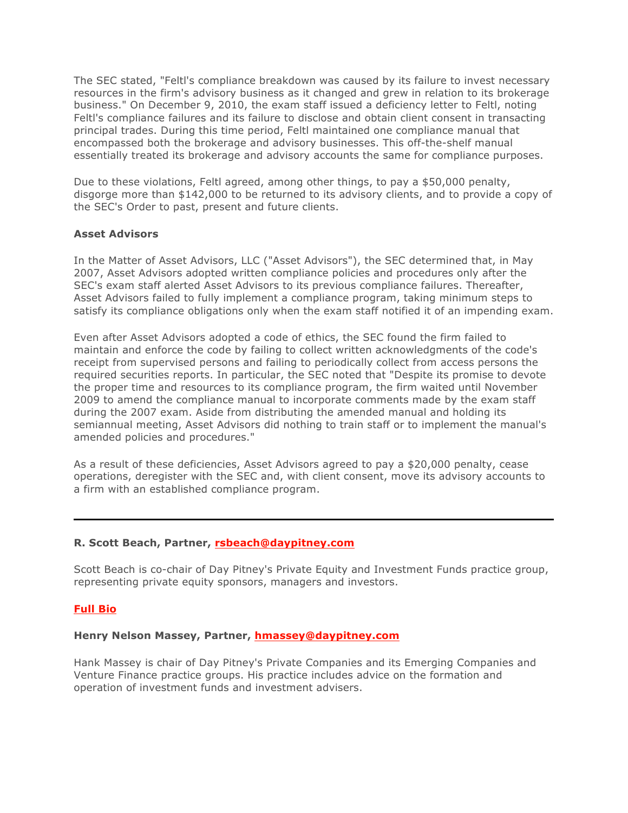The SEC stated, "Feltl's compliance breakdown was caused by its failure to invest necessary resources in the firm's advisory business as it changed and grew in relation to its brokerage business." On December 9, 2010, the exam staff issued a deficiency letter to Feltl, noting Feltl's compliance failures and its failure to disclose and obtain client consent in transacting principal trades. During this time period, Feltl maintained one compliance manual that encompassed both the brokerage and advisory businesses. This off-the-shelf manual essentially treated its brokerage and advisory accounts the same for compliance purposes.

Due to these violations, Feltl agreed, among other things, to pay a \$50,000 penalty, disgorge more than \$142,000 to be returned to its advisory clients, and to provide a copy of the SEC's Order to past, present and future clients.

## **Asset Advisors**

In the Matter of Asset Advisors, LLC ("Asset Advisors"), the SEC determined that, in May 2007, Asset Advisors adopted written compliance policies and procedures only after the SEC's exam staff alerted Asset Advisors to its previous compliance failures. Thereafter, Asset Advisors failed to fully implement a compliance program, taking minimum steps to satisfy its compliance obligations only when the exam staff notified it of an impending exam.

Even after Asset Advisors adopted a code of ethics, the SEC found the firm failed to maintain and enforce the code by failing to collect written acknowledgments of the code's receipt from supervised persons and failing to periodically collect from access persons the required securities reports. In particular, the SEC noted that "Despite its promise to devote the proper time and resources to its compliance program, the firm waited until November 2009 to amend the compliance manual to incorporate comments made by the exam staff during the 2007 exam. Aside from distributing the amended manual and holding its semiannual meeting, Asset Advisors did nothing to train staff or to implement the manual's amended policies and procedures."

As a result of these deficiencies, Asset Advisors agreed to pay a \$20,000 penalty, cease operations, deregister with the SEC and, with client consent, move its advisory accounts to a firm with an established compliance program.

## **R. Scott Beach, Partner, rsbeach@daypitney.com**

Scott Beach is co-chair of Day Pitney's Private Equity and Investment Funds practice group, representing private equity sponsors, managers and investors.

## **Full Bio**

## **Henry Nelson Massey, Partner, hmassey@daypitney.com**

Hank Massey is chair of Day Pitney's Private Companies and its Emerging Companies and Venture Finance practice groups. His practice includes advice on the formation and operation of investment funds and investment advisers.